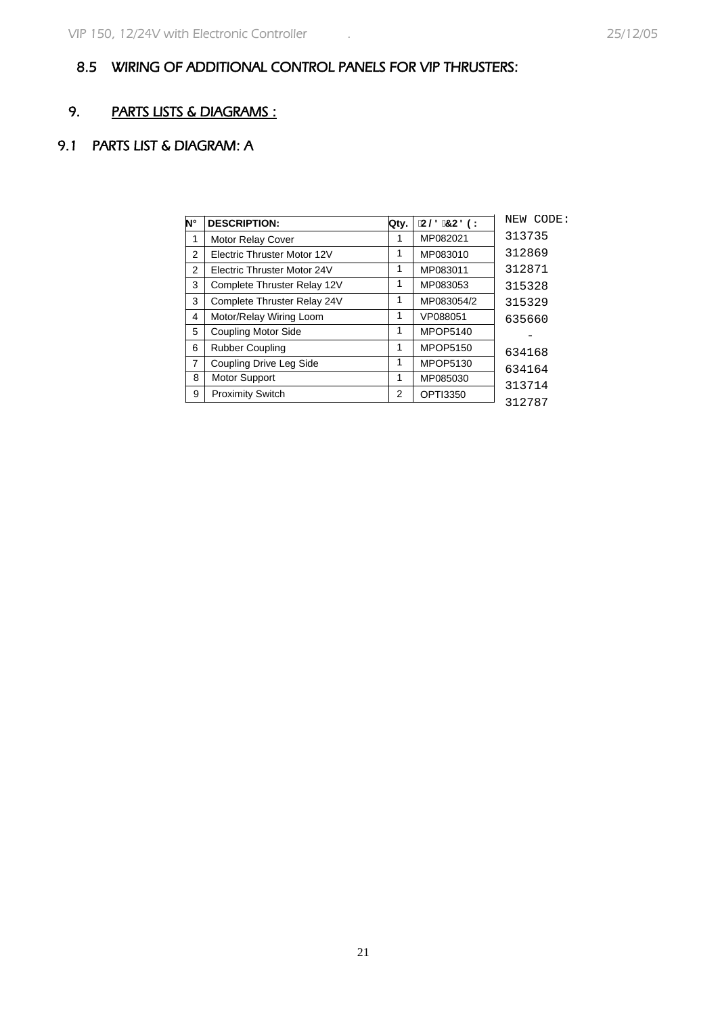## 8.5 WIRING OF ADDITIONAL CONTROL PANELS FOR VIP THRUSTERS:

## 9. PARTS LISTS & DIAGRAMS :

## 9.1 PARTS LIST & DIAGRAM: A

| N°             | <b>DESCRIPTION:</b>         | Qtv. | $C@7C89$ : | NEW CODE: |
|----------------|-----------------------------|------|------------|-----------|
| 1              | <b>Motor Relay Cover</b>    | 1    | MP082021   | 313735    |
| 2              | Electric Thruster Motor 12V | 1    | MP083010   | 312869    |
| 2              | Electric Thruster Motor 24V | 1    | MP083011   | 312871    |
| 3              | Complete Thruster Relay 12V | 1    | MP083053   | 315328    |
| 3              | Complete Thruster Relay 24V | 1    | MP083054/2 | 315329    |
| 4              | Motor/Relay Wiring Loom     | 1    | VP088051   | 635660    |
| 5              | <b>Coupling Motor Side</b>  | 1    | MPOP5140   |           |
| 6              | <b>Rubber Coupling</b>      | 1    | MPOP5150   | 634168    |
| $\overline{7}$ | Coupling Drive Leg Side     | 1    | MPOP5130   | 634164    |
| 8              | <b>Motor Support</b>        | 1    | MP085030   | 313714    |
| 9              | <b>Proximity Switch</b>     | 2    | OPTI3350   | 312787    |
|                |                             |      |            |           |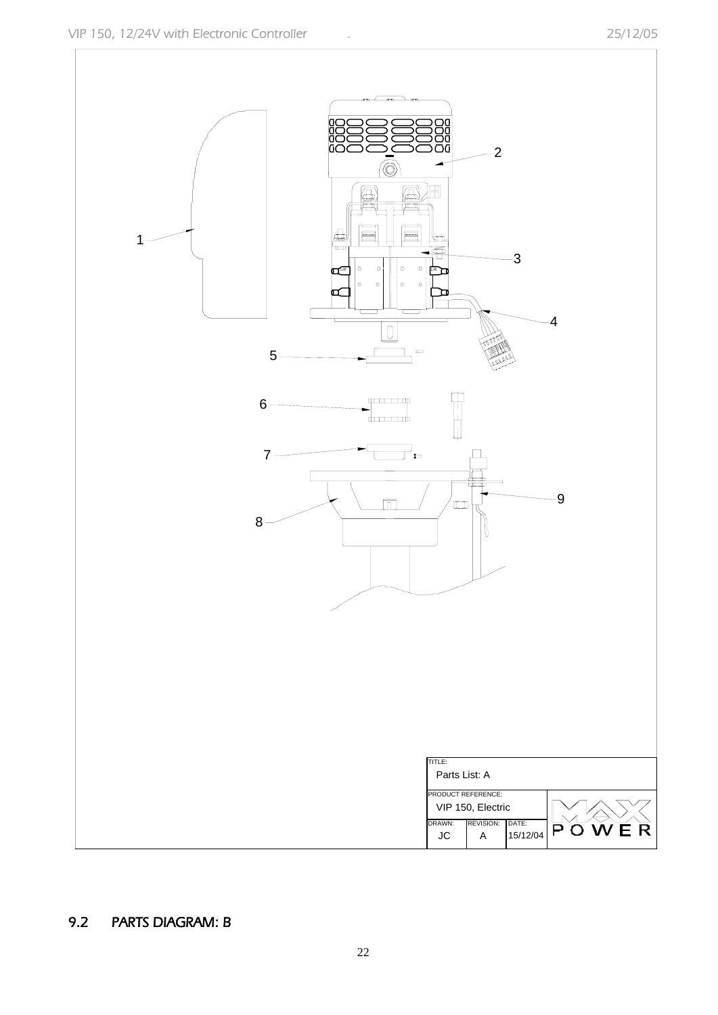

## 9.2 PARTS DIAGRAM: B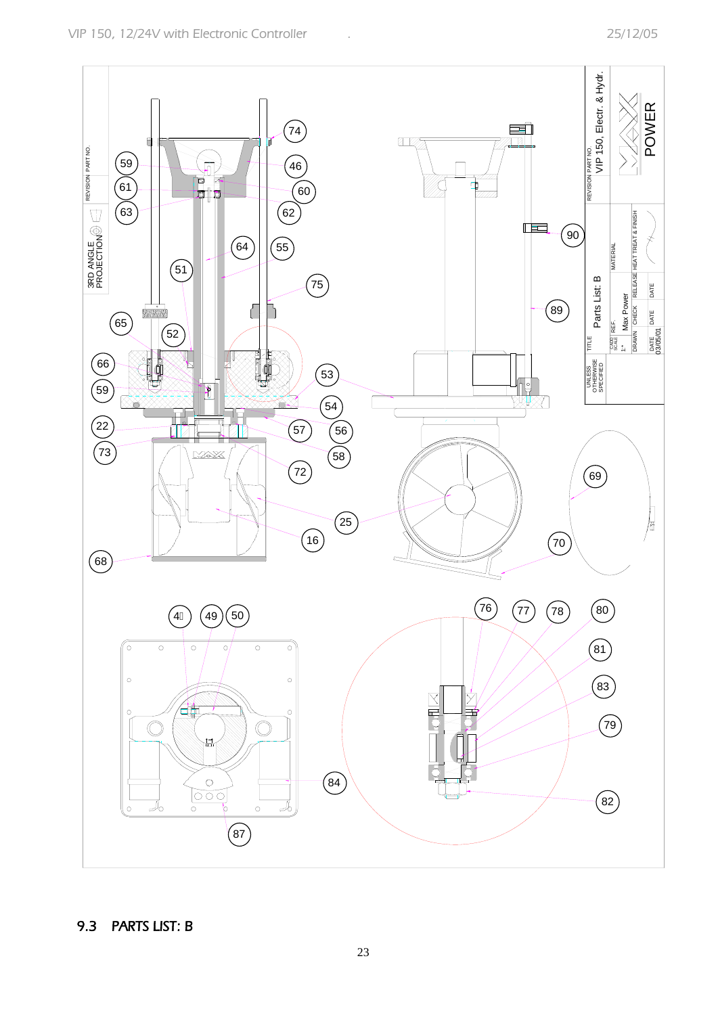

9.3 PARTS LIST: B